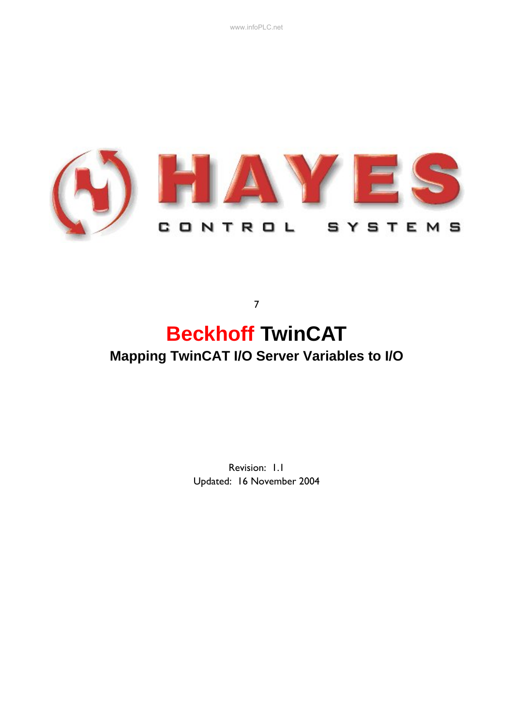www.infoPLC.net



# **Beckhoff TwinCAT Mapping TwinCAT I/O Server Variables to I/O**

7

Revision: 1.1 Updated: 16 November 2004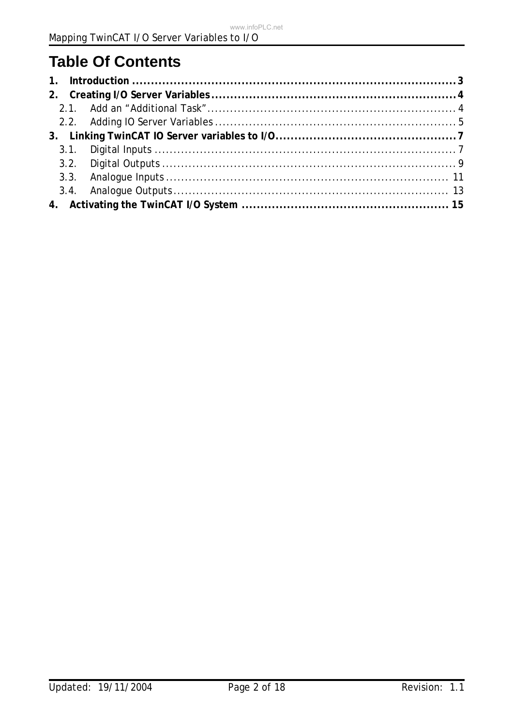# **Table Of Contents**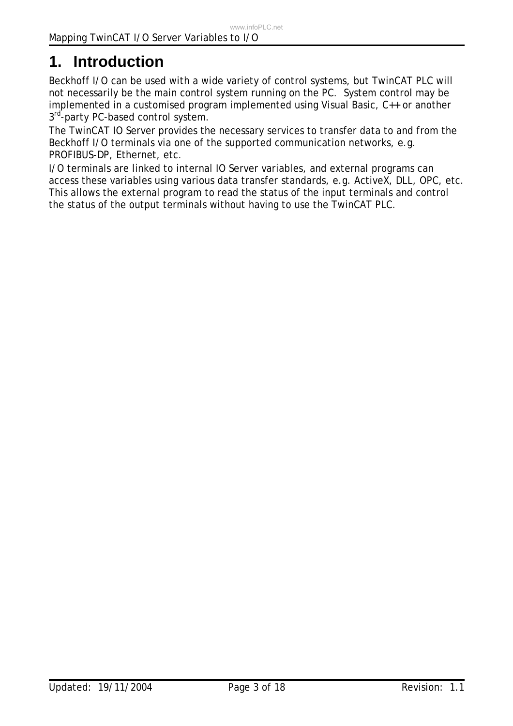# **1. Introduction**

Beckhoff I/O can be used with a wide variety of control systems, but TwinCAT PLC will not necessarily be the main control system running on the PC. System control may be implemented in a customised program implemented using Visual Basic, C++ or another 3rd-party PC-based control system.

The TwinCAT IO Server provides the necessary services to transfer data to and from the Beckhoff I/O terminals via one of the supported communication networks, e.g. PROFIBUS-DP, Ethernet, etc.

I/O terminals are linked to internal IO Server variables, and external programs can access these variables using various data transfer standards, e.g. ActiveX, DLL, OPC, etc. This allows the external program to read the status of the input terminals and control the status of the output terminals without having to use the TwinCAT PLC.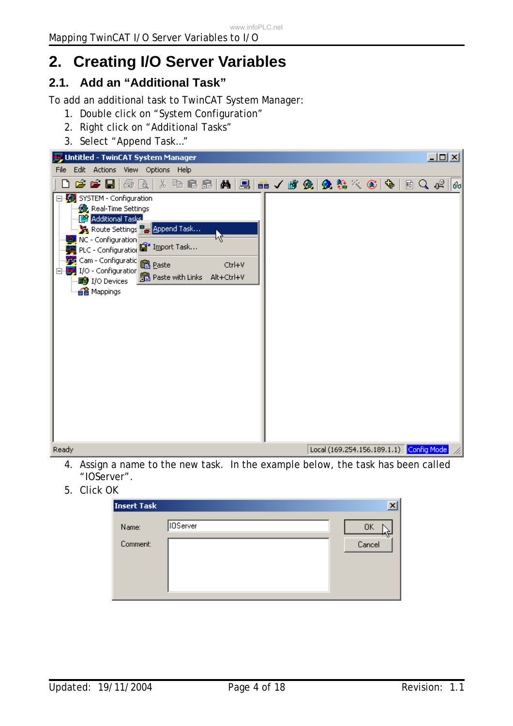# **2. Creating I/O Server Variables**

## **2.1. Add an "Additional Task"**

To add an additional task to TwinCAT System Manager:

- 1. Double click on "System Configuration"
- 2. Right click on "Additional Tasks"
- 3. Select "Append Task…"



- 4. Assign a name to the new task. In the example below, the task has been called "IOServer".
- 5. Click OK

| <b>Insert Task</b> |                 |              |
|--------------------|-----------------|--------------|
| Name:<br>Comment:  | <b>IOServer</b> | ΟK<br>Cancel |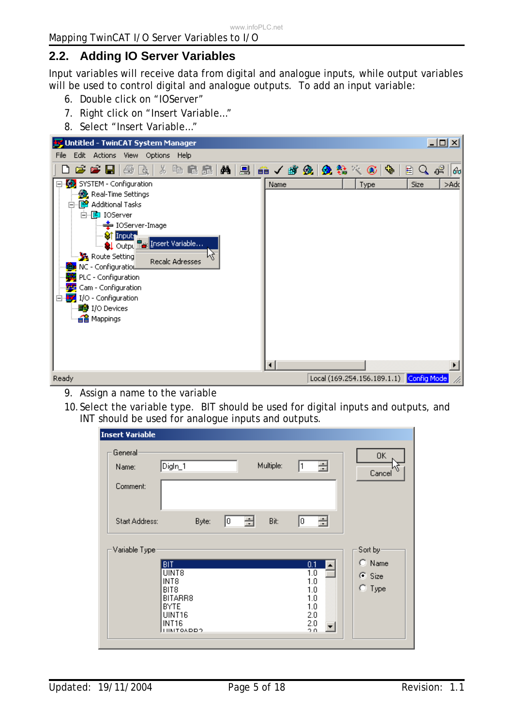## **2.2. Adding IO Server Variables**

Input variables will receive data from digital and analogue inputs, while output variables will be used to control digital and analogue outputs. To add an input variable:

- 6. Double click on "IOServer"
- 7. Right click on "Insert Variable…"
- 8. Select "Insert Variable…"



- 9. Assign a name to the variable
- 10.Select the variable type. BIT should be used for digital inputs and outputs, and INT should be used for analogue inputs and outputs.

| Insert Variable       |                                     |              |   |           |            |                  |
|-----------------------|-------------------------------------|--------------|---|-----------|------------|------------------|
| General<br>Name:      | Digln_1                             |              |   | Multiple: | 클<br>11    | 0K<br>Cancel     |
| Comment:              |                                     |              |   |           |            |                  |
| <b>Start Address:</b> |                                     | I٥.<br>Byte: | 금 | Bit:      | 클<br>I٥,   |                  |
| Variable Type         |                                     |              |   |           |            | Sort by-         |
|                       | <b>BIT</b>                          |              |   |           | 0.1        | $\bigcirc$ Name  |
|                       | UINT8<br>INT8                       |              |   |           | 1.0<br>1.0 | $\subseteq$ Size |
|                       | BIT <sub>8</sub>                    |              |   |           | 1.0        | $C$ Type         |
|                       | BITARR8<br><b>BYTE</b>              |              |   |           | 1.0<br>1.0 |                  |
|                       | UINT16                              |              |   |           | 2.0        |                  |
|                       | <b>INT16</b><br><b>I IIMITOADD?</b> |              |   |           | 2.0<br>2.0 |                  |
|                       |                                     |              |   |           |            |                  |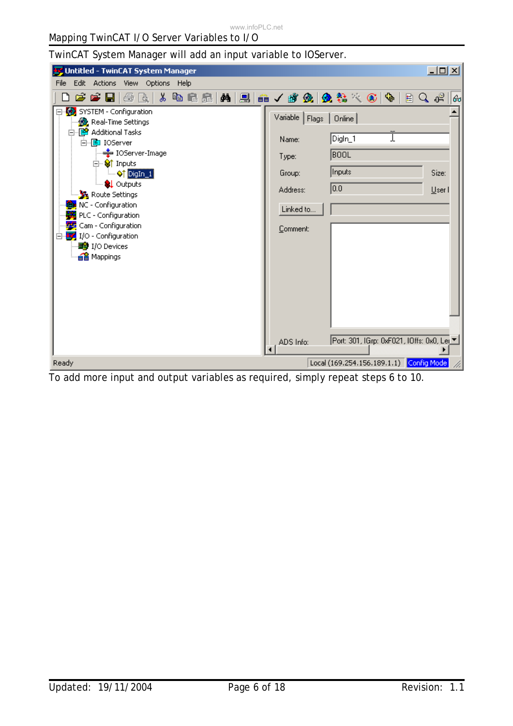TwinCAT System Manager will add an input variable to IOServer.

| Vintitled - TwinCAT System Manager                                                                                                                                                                                                                                                                                                                                                                                        | $\Box$ D $\times$                                                                                                                                                                        |
|---------------------------------------------------------------------------------------------------------------------------------------------------------------------------------------------------------------------------------------------------------------------------------------------------------------------------------------------------------------------------------------------------------------------------|------------------------------------------------------------------------------------------------------------------------------------------------------------------------------------------|
| Edit<br>Actions View Options<br>File<br>– Help                                                                                                                                                                                                                                                                                                                                                                            |                                                                                                                                                                                          |
| 人名尼尼<br>CCC<br>€<br>Là                                                                                                                                                                                                                                                                                                                                                                                                    | 目Q岬<br>60                                                                                                                                                                                |
| SYSTEM - Configuration<br><b>A</b> Real-Time Settings<br>白 P Additional Tasks<br>Name:<br>白 <b>国</b> IOServer<br>亭 IOServer-Image<br>Type:<br>⊟ <sup></sup> Si† Inputs<br>$-\otimes$ † DigIn $-1$<br>Group:<br><b>Q</b> Outputs<br>Address:<br>Route Settings<br>NC - Configuration<br>PLC - Configuration<br>Cam - Configuration<br>$\frac{1}{2}$ I/O - Configuration<br><b>野</b> I/O Devices<br>a Mappings<br>ADS Info: | Variable   Flags<br>Online<br>DigIn_1<br><b>BOOL</b><br>Inputs<br>Size:<br>$\overline{0.0}$<br>User I<br>Linked to<br>Comment:<br>Port: 301, IGrp: 0xF021, IOffs: 0x0, Lei_ <sup>▼</sup> |
| Ready                                                                                                                                                                                                                                                                                                                                                                                                                     | Local (169.254.156.189.1.1) Config Mode                                                                                                                                                  |

To add more input and output variables as required, simply repeat steps 6 to 10.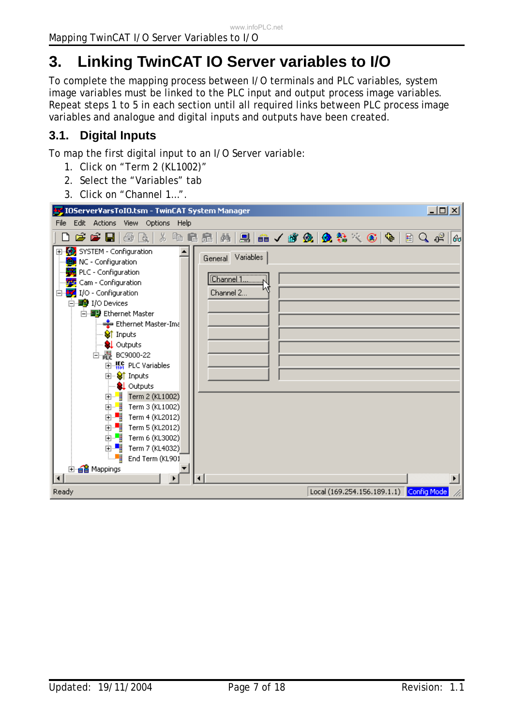# **3. Linking TwinCAT IO Server variables to I/O**

To complete the mapping process between I/O terminals and PLC variables, system image variables must be linked to the PLC input and output process image variables. Repeat steps 1 to 5 in each section until all required links between PLC process image variables and analogue and digital inputs and outputs have been created.

## **3.1. Digital Inputs**

To map the first digital input to an I/O Server variable:

- 1. Click on "Term 2 (KL1002)"
- 2. Select the "Variables" tab
- 3. Click on "Channel 1…".

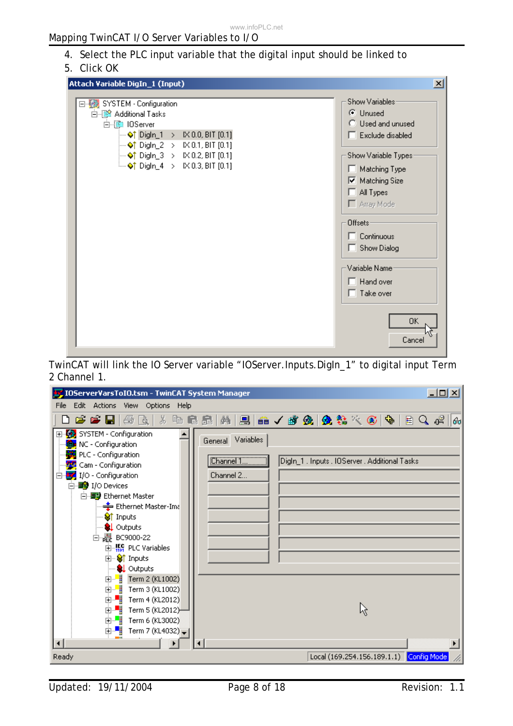### 4. Select the PLC input variable that the digital input should be linked to

#### 5. Click OK

| Attach Variable DigIn_1 (Input)                                                                                                                                                                                                                                                                                     | $\vert x \vert$                                                                                                                                                                                                                                                                                                            |
|---------------------------------------------------------------------------------------------------------------------------------------------------------------------------------------------------------------------------------------------------------------------------------------------------------------------|----------------------------------------------------------------------------------------------------------------------------------------------------------------------------------------------------------------------------------------------------------------------------------------------------------------------------|
| □ ▒ SYSTEM - Configuration<br>白 88 Additional Tasks<br>白· ( IOServer<br>$\rightarrow$ $\lozenge$ † Digln_1 > IX 0.0, BIT [0.1]<br>$\rightarrow$ 01 Digln_2 > IX 0.1, BIT [0.1]<br>$\rightarrow$ 01 Digln_3 > IX 0.2, BIT [0.1]<br>$\stackrel{\text{i.m}}{\sim}$ $\lozenge$ T DigIn_4 $\rightarrow$ K 0.3, BIT [0.1] | Show Variables:<br>C Unused<br>$\bigcirc$ Used and unused<br>$\Box$ Exclude disabled<br>Show Variable Types-<br>Matching Type<br><b>▽</b> Matching Size<br>$\Box$ All Types<br>$\Box$ Array Mode<br>Offsets-<br>Continuous<br>$\Box$ Show Dialog<br>Variable Name:<br>$\Box$ Hand over<br>$\Box$ Take over<br>ΟK<br>Cancel |

TwinCAT will link the IO Server variable "IOServer.Inputs.DigIn\_1" to digital input Term 2 Channel 1.



Updated: 19/11/2004 **Page 8 of 18** Revision: 1.1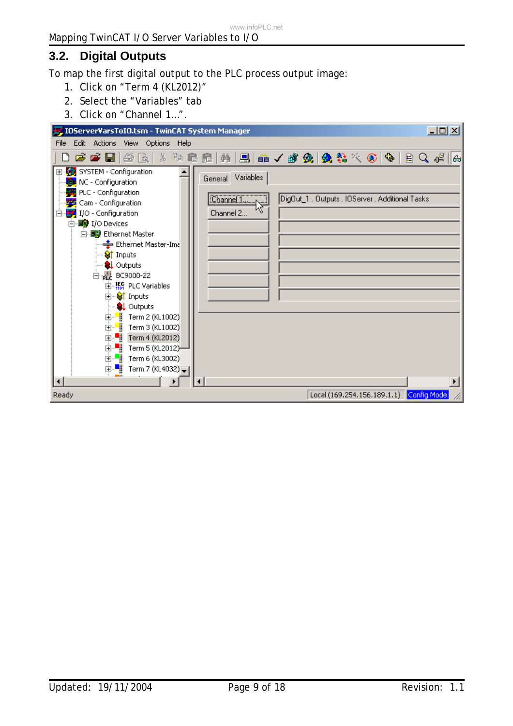# **3.2. Digital Outputs**

To map the first digital output to the PLC process output image:

- 1. Click on "Term 4 (KL2012)"
- 2. Select the "Variables" tab
- 3. Click on "Channel 1…".

| IOServerVarsToIO.tsm - TwinCAT System Manager                                                                                                                                                                                                                                                                                                                                                                                                                                                                                                                                                | $    \times$ $-$                                                                                             |
|----------------------------------------------------------------------------------------------------------------------------------------------------------------------------------------------------------------------------------------------------------------------------------------------------------------------------------------------------------------------------------------------------------------------------------------------------------------------------------------------------------------------------------------------------------------------------------------------|--------------------------------------------------------------------------------------------------------------|
| Edit Actions View Options Help<br><b>File</b>                                                                                                                                                                                                                                                                                                                                                                                                                                                                                                                                                |                                                                                                              |
|                                                                                                                                                                                                                                                                                                                                                                                                                                                                                                                                                                                              | 6 <sub>o</sub>                                                                                               |
| 田·92 SYSTEM - Configuration<br><b>tex</b> NC - Configuration<br>PLC - Configuration<br><b>Fo</b> Cam - Configuration<br>$\Box$ $\Box$ I/O - Configuration<br>白 <b>野</b> I/O Devices<br>白 画 Ethernet Master<br><del>를</del> Ethernet Master-Ima<br>S† Inputs<br><b>Q</b> Outputs<br>白 <sub>唱</sub> <sup>11</sup> BC9000-22<br>由 <b>K</b> <sub>11</sub> PLC Variables<br><b>E</b> Striputs<br>— <mark>©↓</mark> Outputs<br>由 <mark></mark> Term 2 (KL1002)<br>$\mathbb{H}^{\mathbb{Z}}$ Term 4 (KL2012)<br>由唱<br>Term 5 (KL2012)<br>由 - Term 6 (KL3002)<br>由唱<br>Term 7 (KL4032) $_{\bigstar}$ | General Variables<br>Channel 1 <sub>1</sub><br>DigOut_1 . Outputs . IOServer . Additional Tasks<br>Channel 2 |
| Ready                                                                                                                                                                                                                                                                                                                                                                                                                                                                                                                                                                                        | Local (169.254.156.189.1.1) Config Mode                                                                      |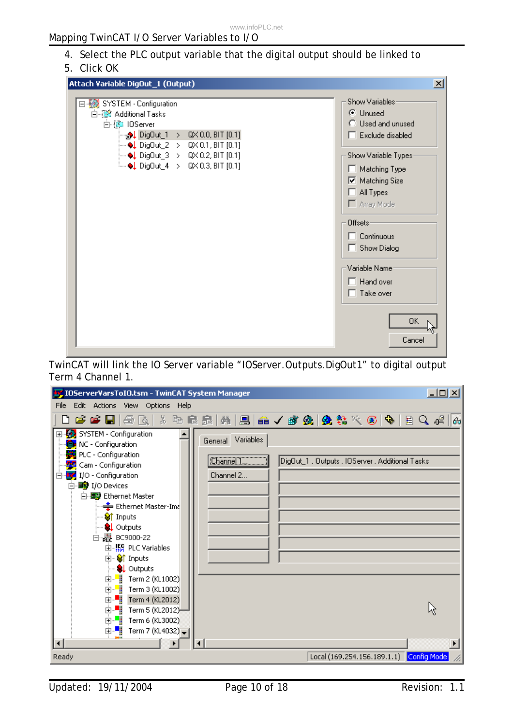### 4. Select the PLC output variable that the digital output should be linked to

5. Click OK

| Attach Variable DigOut_1 (Output)                                                                                                                                                                                                                                                                                                    | ×l                                                                                                                                                                                 |
|--------------------------------------------------------------------------------------------------------------------------------------------------------------------------------------------------------------------------------------------------------------------------------------------------------------------------------------|------------------------------------------------------------------------------------------------------------------------------------------------------------------------------------|
| □ ▒ SYSTEM - Configuration<br>白 <a></a> Additional Tasks<br>白--- DServer<br><sub>.5</sub> .)↓ DigOut_1 > QX 0.0, BIT [0.1]<br>$\rightarrow$ DigOut_2 > QX 0.1, BIT [0.1]<br>$\rightarrow$ DigDut_3 > QX 0.2, BIT [0.1]<br>$\stackrel{\scriptstyle \mathsf{lim}}{\longrightarrow} \bigoplus$ DigOut_4 $\rightarrow$ QX 0.3, BIT [0.1] | Show Variables:<br>C Unused<br>C Used and unused<br>$\Box$ Exclude disabled<br>Show Variable Types:<br>Matching Type<br><b>▽</b> Matching Size<br>$\Box$ All Types<br>□ Array Mode |
|                                                                                                                                                                                                                                                                                                                                      | Offsets-<br>$\Box$ Continuous<br>Show Dialog<br>Variable Name<br>$\Box$ Hand over                                                                                                  |
|                                                                                                                                                                                                                                                                                                                                      | $\Box$ Take over<br>OK.<br>Cancel                                                                                                                                                  |

TwinCAT will link the IO Server variable "IOServer.Outputs.DigOut1" to digital output Term 4 Channel 1.



Updated: 19/11/2004 Page 10 of 18 Page 10 of 18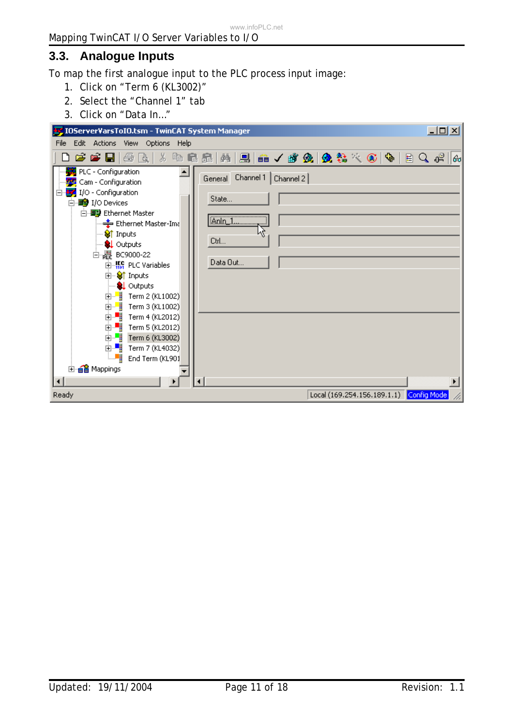# **3.3. Analogue Inputs**

To map the first analogue input to the PLC process input image:

- 1. Click on "Term 6 (KL3002)"
- 2. Select the "Channel 1" tab
- 3. Click on "Data In…"

| $-12X$<br>IOServerVarsToIO.tsm - TwinCAT System Manager                                                                                                                                                                                                                                                                                                                                                                                                                                                                              |
|--------------------------------------------------------------------------------------------------------------------------------------------------------------------------------------------------------------------------------------------------------------------------------------------------------------------------------------------------------------------------------------------------------------------------------------------------------------------------------------------------------------------------------------|
| Edit Actions View Options Help<br>File                                                                                                                                                                                                                                                                                                                                                                                                                                                                                               |
| 电信息   两   黑   晶 / 感 免   免 % × 6   %   日 Q ポ<br>56<br>d e e liba<br>160                                                                                                                                                                                                                                                                                                                                                                                                                                                               |
| PLC - Configuration<br>Channel 1<br>Channel 2<br>General<br><b>PC</b> Cam - Configuration<br>I/O - Configuration<br>Ēŀ<br>State<br>白·■ I/O Devices<br>白 画 Ethernet Master<br>Anin_1<br>-- <del>호</del> Ethernet Master-Ima<br>— <mark>Vi</mark> Inputs<br>Ctrl<br><b>Q</b> Outputs<br>白曜 BC9000-22<br>Data Out<br>由 <b>K</b> <sub>1</sub> PLC Variables<br>⊞- <sup>©</sup> Inputs<br><b>Q</b> Outputs<br>由… ■ Term 2 (KL1002)<br>$\Box$<br>Term 3 (KL1002)<br>Ò.<br>Term 4 (KL2012)<br>ò-H<br>Term 5 (KL2012)<br>主 ■ Term 6 (KL3002) |
| 由 ■ Term 7 (KL4032)<br>⊨≋¦<br>End Term (KL901                                                                                                                                                                                                                                                                                                                                                                                                                                                                                        |
| 由· a Mappings                                                                                                                                                                                                                                                                                                                                                                                                                                                                                                                        |
|                                                                                                                                                                                                                                                                                                                                                                                                                                                                                                                                      |
| Local (169.254.156.189.1.1) Config Mode<br>Ready                                                                                                                                                                                                                                                                                                                                                                                                                                                                                     |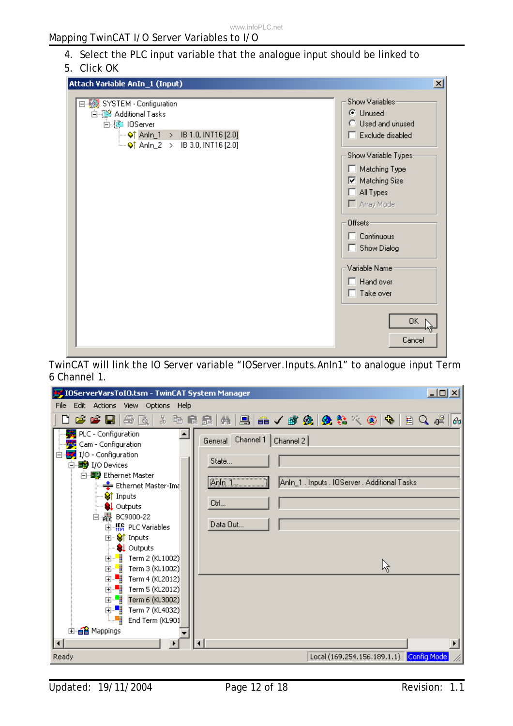## 4. Select the PLC input variable that the analogue input should be linked to

### 5. Click OK

| Attach Variable AnIn_1 (Input)                                                                                                                                   | ⊠                                                                                                                                                                                                                                                                                                  |
|------------------------------------------------------------------------------------------------------------------------------------------------------------------|----------------------------------------------------------------------------------------------------------------------------------------------------------------------------------------------------------------------------------------------------------------------------------------------------|
| 日· ※ SYSTEM - Configuration<br>白 8 Additional Tasks<br>白·▒ IOServer<br>$\Rightarrow$ Anin_1 > IB 1.0, INT16 [2.0]<br><sup>i</sup> ♦ Anin_2 > IB 3.0, INT16 [2.0] | Show Variables:<br>C Unused<br>C Used and unused<br>$\Box$ Exclude disabled<br>Show Variable Types:<br>Matching Type<br><b>▽</b> Matching Size<br>$\Box$ All Types<br>□ Array Mode<br>Offsets-<br>$\Box$ Continuous<br>$\Box$ Show Dialog<br>Variable Name<br>$\Box$ Hand over<br>$\Box$ Take over |
|                                                                                                                                                                  | OK .<br>Cancel                                                                                                                                                                                                                                                                                     |

TwinCAT will link the IO Server variable "IOServer.Inputs.AnIn1" to analogue input Term 6 Channel 1.

| <b>by</b> IOServerVarsToIO.tsm - TwinCAT System Manager                                                                                                                                                                                                               | <u>니미지</u>                                                                                                                  |
|-----------------------------------------------------------------------------------------------------------------------------------------------------------------------------------------------------------------------------------------------------------------------|-----------------------------------------------------------------------------------------------------------------------------|
| Edit Actions<br>File<br>View Options<br>– Help                                                                                                                                                                                                                        |                                                                                                                             |
|                                                                                                                                                                                                                                                                       | D d d d d   5 B   3 B B B   M   B   A / d &   & & X &   &   B Q +   B Q +  <br> 60                                          |
| PLC - Configuration<br>Cam - Configuration<br>I/O - Configuration<br>白·■ I/O Devices<br>白 图 Ethernet Master<br>— Ethernet Master-Ima<br>Strnputs<br>… <mark>©↓</mark> Outputs<br>白曜 BC9000-22                                                                         | Channel 1   Channel 2  <br>General<br>State<br>Anin 1.<br>AnIn_1 . Inputs . IOServer . Additional Tasks<br>Ctrl<br>Data Out |
| 由 <b>William</b> PLC Variables<br>由 <sup>●</sup> inputs<br><b>Q</b> Outputs<br>由 ■ Term 2 (KL1002)<br>由  ■ Term 3 (KL1002)<br>由 ■ Term 4 (KL2012)<br>由書<br>Term 5 (KL2012)<br>由 - Term 6 (KL3002)<br>由 ■ Term 7 (KL4032)<br>!… ≋¦<br>End Term (KL901<br>由·ei Mappings | R                                                                                                                           |
| Ready                                                                                                                                                                                                                                                                 | Local (169.254.156.189.1.1) Config Mode                                                                                     |

Updated: 19/11/2004 Page 12 of 18 Page 12 of 18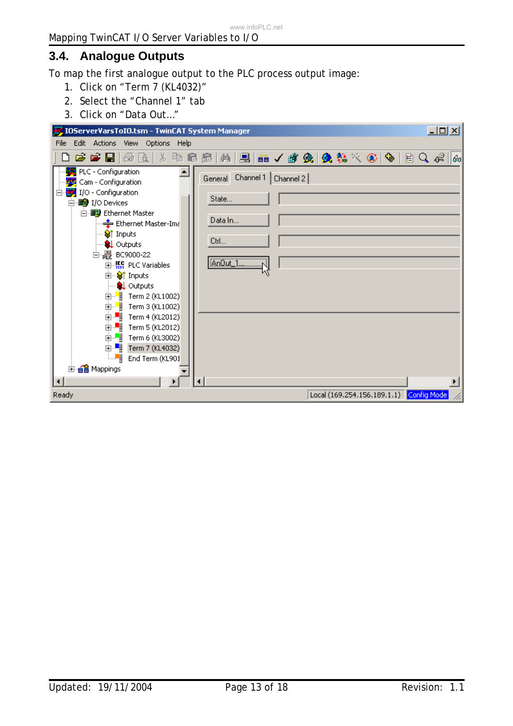# **3.4. Analogue Outputs**

To map the first analogue output to the PLC process output image:

- 1. Click on "Term 7 (KL4032)"
- 2. Select the "Channel 1" tab
- 3. Click on "Data Out…"

| $-12X$<br>IOServerVarsToIO.tsm - TwinCAT System Manager                                                                                                                                                                                                                                                                                                                                                                                                                                                                                                   |
|-----------------------------------------------------------------------------------------------------------------------------------------------------------------------------------------------------------------------------------------------------------------------------------------------------------------------------------------------------------------------------------------------------------------------------------------------------------------------------------------------------------------------------------------------------------|
| Edit Actions View Options Help<br>File                                                                                                                                                                                                                                                                                                                                                                                                                                                                                                                    |
| 口声声冒口 3 日日品 14 月日 4 ノダタ 9 2 2 ベンド 10 0 4<br>6 <sub>o</sub>                                                                                                                                                                                                                                                                                                                                                                                                                                                                                                |
| PLC - Configuration<br>General Channel 1   Channel 2  <br><b>PE</b> Cam - Configuration<br>I/O - Configuration<br>State<br>白· <b>野</b> I/O Devices<br>白 画 Ethernet Master<br>Data In<br>⊶ <del>≛</del> Ethernet Master-Ima<br>⊸ S∦ Inputs<br>Ctrl<br><b>Q</b> Outputs<br>白曜 BC9000-22<br>AnDut_1<br>$\mathbb{H}$ $\mathbb{H}$ PLC Variables<br><b>E</b> Striputs<br><b>Q</b> Outputs<br>由   Term 2 (KL1002)<br>由  ■ Term 3 (KL1002)<br>由書<br>Term 4 (KL2012)<br>ò H<br>Term 5 (KL2012)<br>由一<br>Term 6 (KL3002)<br>ि≫µ<br>End Term (KL901<br>由 e Mappings |
|                                                                                                                                                                                                                                                                                                                                                                                                                                                                                                                                                           |
| Local (169.254.156.189.1.1) Config Mode<br>Ready                                                                                                                                                                                                                                                                                                                                                                                                                                                                                                          |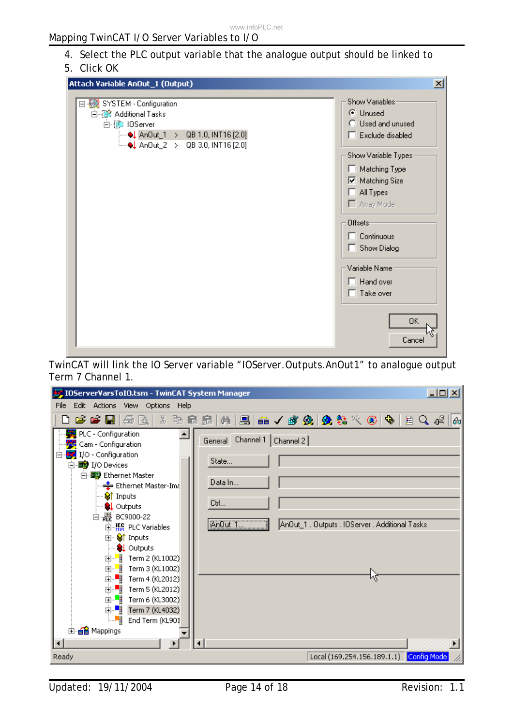# 4. Select the PLC output variable that the analogue output should be linked to

## 5. Click OK

| Attach Variable AnOut_1 (Output)                                                                                                                    | $\vert x \vert$                                                                                                                                                                                                                                                         |
|-----------------------------------------------------------------------------------------------------------------------------------------------------|-------------------------------------------------------------------------------------------------------------------------------------------------------------------------------------------------------------------------------------------------------------------------|
| □ ▒ SYSTEM - Configuration<br>白 88 Additional Tasks<br>白·▒ IOServer<br>Anout_1 > QB 1.0, INT16 [2.0]<br>$\frac{1}{2}$ An0ut_2 > QB 3.0, INT16 [2.0] | Show Variables:<br>C Unused<br>C Used and unused<br>$\Box$ Exclude disabled<br>Show Variable Types:<br>□ Matching Type<br><b>▽</b> Matching Size<br>$\Box$ All Types<br>Array Mode<br>Offsets:<br>$\Box$ Continuous<br>Show Dialog<br>Variable Name<br>$\Box$ Hand over |
|                                                                                                                                                     | $\Box$ Take over                                                                                                                                                                                                                                                        |
|                                                                                                                                                     | <b>OK</b><br>Cancel                                                                                                                                                                                                                                                     |

TwinCAT will link the IO Server variable "IOServer.Outputs.AnOut1" to analogue output Term 7 Channel 1.

| <b>by</b> IOServerVarsToIO.tsm - TwinCAT System Manager                                                                                                                                                                                                                                                                                                                                                                                                                                                                                                                                          | 그미지                                     |
|--------------------------------------------------------------------------------------------------------------------------------------------------------------------------------------------------------------------------------------------------------------------------------------------------------------------------------------------------------------------------------------------------------------------------------------------------------------------------------------------------------------------------------------------------------------------------------------------------|-----------------------------------------|
| Edit Actions View Options Help<br>File                                                                                                                                                                                                                                                                                                                                                                                                                                                                                                                                                           |                                         |
| D F F F & & X & B & M B & / # & & & * © & B Q + B Q + 6                                                                                                                                                                                                                                                                                                                                                                                                                                                                                                                                          |                                         |
| PLC - Configuration<br>Channel 1   Channel 2  <br>General<br>Cam - Configuration<br>I/O - Configuration<br>State<br>白·■ I/O Devices<br>白 图 Ethernet Master<br>Data In<br>— Ethernet Master-Ima<br>Strnputs<br>Ctrl<br>— <mark>©↓</mark> Outputs<br>白曜 BC9000-22<br>AnDut 1<br>An0ut_1 . Outputs . IOServer . Additional Tasks<br>由 <b>Hotel</b> PLC Variables<br>由… Son Inputs<br><b>Q</b> Outputs<br>由  ■ Term 2 (KL1002)<br>由  ■ Term 3 (KL1002)<br>由  ■ Term 4 (KL2012)<br>由一<br>Term 5 (KL2012)<br>由 ■ Term 6 (KL3002)<br>主··■ Term 7 (KL4032)<br>!… ≋;¦<br>End Term (KL901<br>由·ei Mappings |                                         |
| Ready                                                                                                                                                                                                                                                                                                                                                                                                                                                                                                                                                                                            | Local (169.254.156.189.1.1) Config Mode |

Updated: 19/11/2004 Page 14 of 18 Revision: 1.1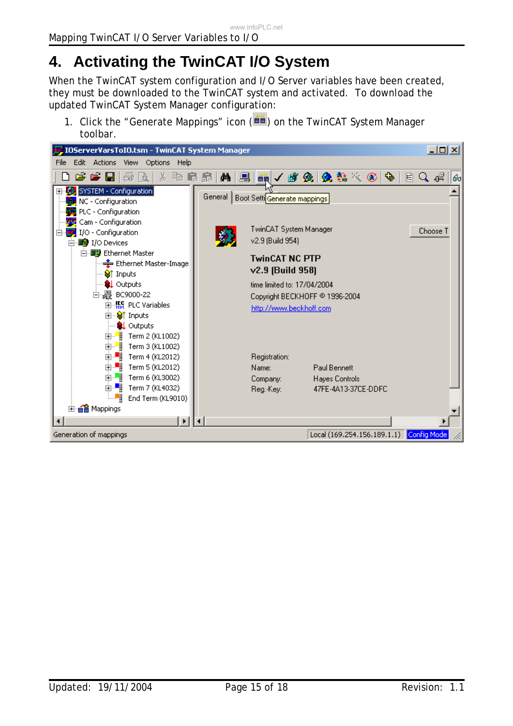# **4. Activating the TwinCAT I/O System**

When the TwinCAT system configuration and I/O Server variables have been created, they must be downloaded to the TwinCAT system and activated. To download the updated TwinCAT System Manager configuration:

1. Click the "Generate Mappings" icon  $(\overrightarrow{ii})$  on the TwinCAT System Manager toolbar.

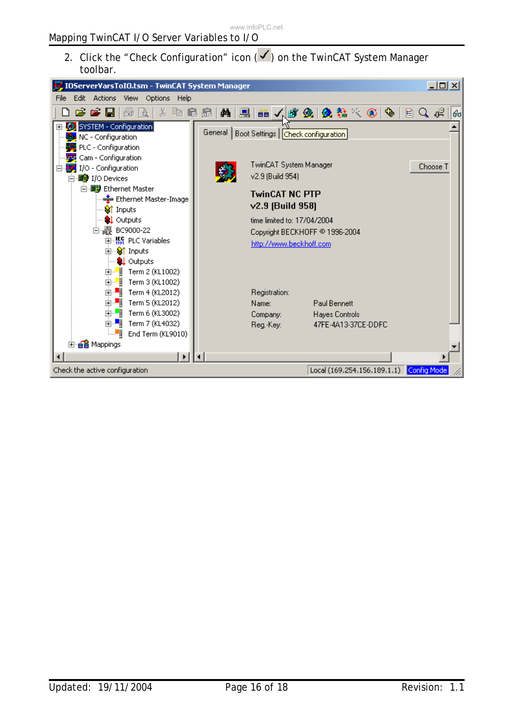2. Click the "Check Configuration" icon  $(\checkmark)$  on the TwinCAT System Manager toolbar.

| IOServerVarsToIO.tsm - TwinCAT System Manager                                                                                                                                                                                                                                                                                                                                                                                                                                                                                                                                                                                                 |                                                                                                                                                                                                                                                                                                                                                     | <u> - 미지</u> |
|-----------------------------------------------------------------------------------------------------------------------------------------------------------------------------------------------------------------------------------------------------------------------------------------------------------------------------------------------------------------------------------------------------------------------------------------------------------------------------------------------------------------------------------------------------------------------------------------------------------------------------------------------|-----------------------------------------------------------------------------------------------------------------------------------------------------------------------------------------------------------------------------------------------------------------------------------------------------------------------------------------------------|--------------|
| Edit<br>Actions<br>View<br>Options<br>Help<br>File                                                                                                                                                                                                                                                                                                                                                                                                                                                                                                                                                                                            |                                                                                                                                                                                                                                                                                                                                                     |              |
| $\mathcal{B} \in \mathbb{H}$<br>垂直<br>X,<br>电尾晶                                                                                                                                                                                                                                                                                                                                                                                                                                                                                                                                                                                               | 2.在人群免费的人<br>₫4.<br>$\otimes$ $\cdot$<br>目                                                                                                                                                                                                                                                                                                          | Q o≌<br>60   |
| El- <a> SYSTEM - Configuration<br/>NC - Configuration<br/>PLC - Configuration<br/><b>PE</b> Cam - Configuration<br/>I/O - Configuration<br/>⊟…<br/>白<b>野</b> I/O Devices<br/>白 ■ Ethernet Master<br/>Ethernet Master-Image<br/>Strnputs<br/><b>Q</b> Outputs<br/>白<sub>唱</sub> BC9000-22<br/>由 <b>縣</b> PLC Variables<br/>由… Strnputs<br/><b>Q</b> Outputs<br/>k<br/>Term 2 (KL1002)<br/>中…<br/>由一體<br/>Term 3 (KL1002)<br/>ò T<br/>Term 4 (KL2012)<br/>面唱<br/>Term 5 (KL2012)<br/>ò-<mark>∥</mark><br/>Term 6 (KL3002)<br/>o ∎<br/>Term 7 (KL4032)<br/>⊧…≋¦<br/>End Term (KL9010)<br/>由· a Mappings<br/><math>\blacktriangleright</math></a> | General  <br>Boot Settings   Check configuration<br>TwinCAT System Manager<br>v2.9 (Build 954)<br><b>TwinCAT NC PTP</b><br>v2.9 [Build 958]<br>time limited to: 17/04/2004<br>Copyright BECKHOFF @ 1996-2004<br>http://www.beckhoff.com<br>Registration:<br>Name:<br>Paul Bennett<br>Hayes Controls<br>Company:<br>47FE-4A13-37CE-DDFC<br>Reg.-Key: | Choose T     |
| Check the active configuration                                                                                                                                                                                                                                                                                                                                                                                                                                                                                                                                                                                                                | Local (169.254.156.189.1.1) Config Mode                                                                                                                                                                                                                                                                                                             |              |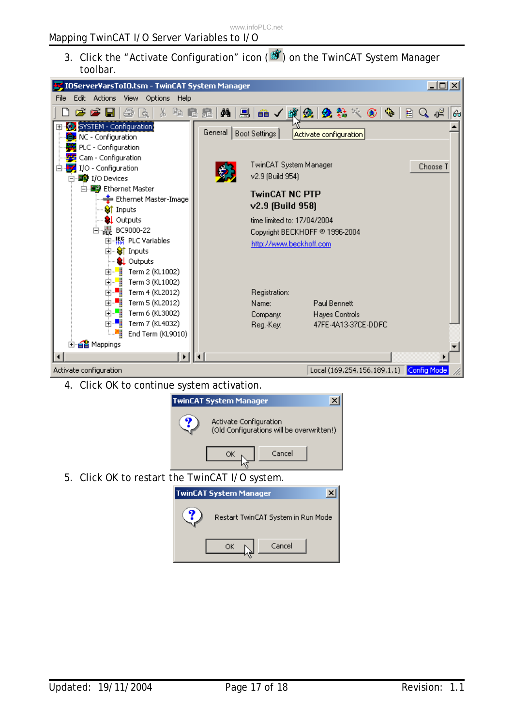3. Click the "Activate Configuration" icon ( $\mathbf{B}$ ) on the TwinCAT System Manager toolbar.



4. Click OK to continue system activation.



ОК

Restart TwinCAT System in Run Mode

Cancel